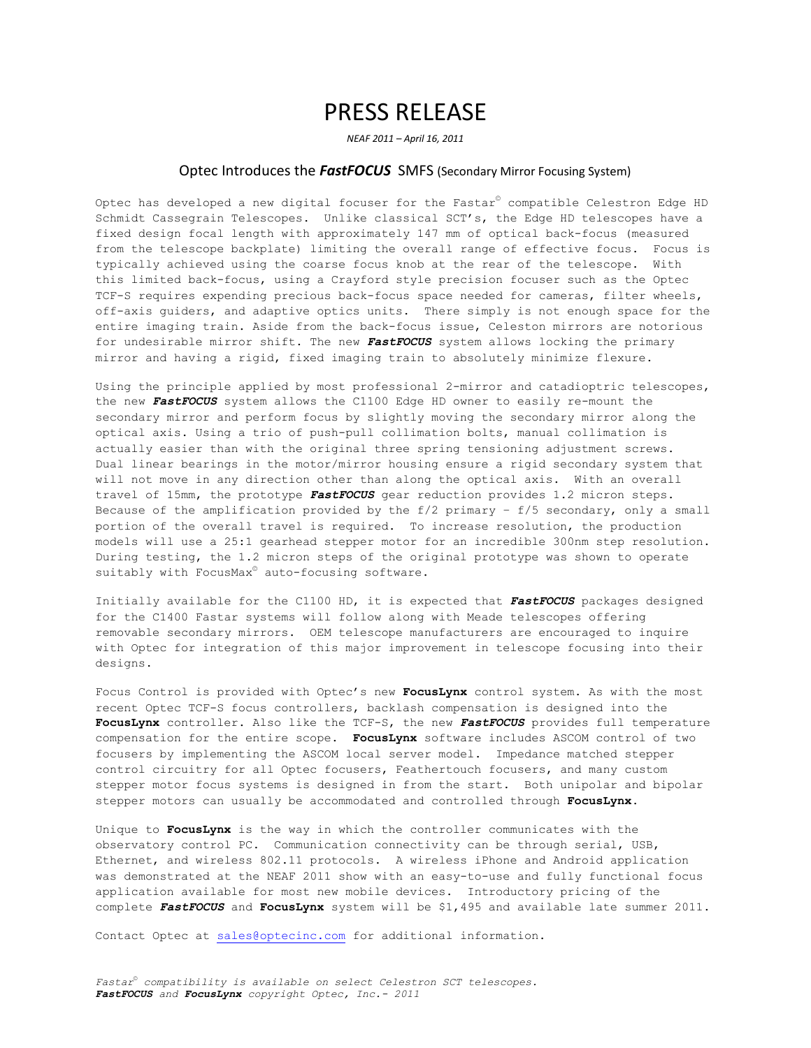## PRESS RELEASE

*NEAF 2011 – April 16, 2011*

## Optec Introduces the *FastFOCUS* SMFS (Secondary Mirror Focusing System)

Optec has developed a new digital focuser for the Fastar© compatible Celestron Edge HD Schmidt Cassegrain Telescopes. Unlike classical SCT's, the Edge HD telescopes have a fixed design focal length with approximately 147 mm of optical back-focus (measured from the telescope backplate) limiting the overall range of effective focus. Focus is typically achieved using the coarse focus knob at the rear of the telescope. With this limited back-focus, using a Crayford style precision focuser such as the Optec TCF-S requires expending precious back-focus space needed for cameras, filter wheels, off-axis guiders, and adaptive optics units. There simply is not enough space for the entire imaging train. Aside from the back-focus issue, Celeston mirrors are notorious for undesirable mirror shift. The new *FastFOCUS* system allows locking the primary mirror and having a rigid, fixed imaging train to absolutely minimize flexure.

Using the principle applied by most professional 2-mirror and catadioptric telescopes, the new *FastFOCUS* system allows the C1100 Edge HD owner to easily re-mount the secondary mirror and perform focus by slightly moving the secondary mirror along the optical axis. Using a trio of push-pull collimation bolts, manual collimation is actually easier than with the original three spring tensioning adjustment screws. Dual linear bearings in the motor/mirror housing ensure a rigid secondary system that will not move in any direction other than along the optical axis. With an overall travel of 15mm, the prototype *FastFOCUS* gear reduction provides 1.2 micron steps. Because of the amplification provided by the  $f/2$  primary -  $f/5$  secondary, only a small portion of the overall travel is required. To increase resolution, the production models will use a 25:1 gearhead stepper motor for an incredible 300nm step resolution. During testing, the 1.2 micron steps of the original prototype was shown to operate suitably with FocusMax<sup>®</sup> auto-focusing software.

Initially available for the C1100 HD, it is expected that *FastFOCUS* packages designed for the C1400 Fastar systems will follow along with Meade telescopes offering removable secondary mirrors. OEM telescope manufacturers are encouraged to inquire with Optec for integration of this major improvement in telescope focusing into their designs.

Focus Control is provided with Optec's new **FocusLynx** control system. As with the most recent Optec TCF-S focus controllers, backlash compensation is designed into the **FocusLynx** controller. Also like the TCF-S, the new *FastFOCUS* provides full temperature compensation for the entire scope. **FocusLynx** software includes ASCOM control of two focusers by implementing the ASCOM local server model. Impedance matched stepper control circuitry for all Optec focusers, Feathertouch focusers, and many custom stepper motor focus systems is designed in from the start. Both unipolar and bipolar stepper motors can usually be accommodated and controlled through **FocusLynx**.

Unique to **FocusLynx** is the way in which the controller communicates with the observatory control PC. Communication connectivity can be through serial, USB, Ethernet, and wireless 802.11 protocols. A wireless iPhone and Android application was demonstrated at the NEAF 2011 show with an easy-to-use and fully functional focus application available for most new mobile devices. Introductory pricing of the complete *FastFOCUS* and **FocusLynx** system will be \$1,495 and available late summer 2011.

Contact Optec at [sales@optecinc.com](mailto:sales@optecinc.com) for additional information.